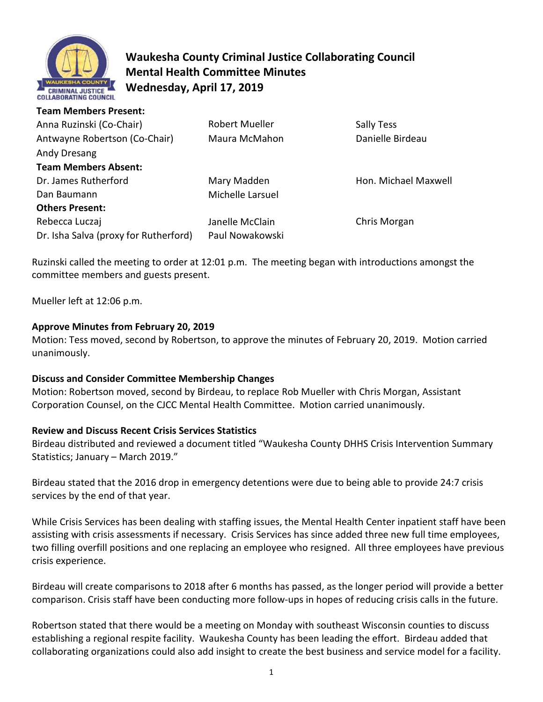

# **Waukesha County Criminal Justice Collaborating Council Mental Health Committee Minutes Wednesday, April 17, 2019**

| Anna Ruzinski (Co-Chair)              | <b>Robert Mueller</b> | Sally Tess           |
|---------------------------------------|-----------------------|----------------------|
| Antwayne Robertson (Co-Chair)         | Maura McMahon         | Danielle Birdeau     |
| Andy Dresang                          |                       |                      |
| <b>Team Members Absent:</b>           |                       |                      |
| Dr. James Rutherford                  | Mary Madden           | Hon. Michael Maxwell |
| Dan Baumann                           | Michelle Larsuel      |                      |
| <b>Others Present:</b>                |                       |                      |
| Rebecca Luczaj                        | Janelle McClain       | Chris Morgan         |
| Dr. Isha Salva (proxy for Rutherford) | Paul Nowakowski       |                      |

Ruzinski called the meeting to order at 12:01 p.m. The meeting began with introductions amongst the committee members and guests present.

Mueller left at 12:06 p.m.

# **Approve Minutes from February 20, 2019**

Motion: Tess moved, second by Robertson, to approve the minutes of February 20, 2019. Motion carried unanimously.

# **Discuss and Consider Committee Membership Changes**

Motion: Robertson moved, second by Birdeau, to replace Rob Mueller with Chris Morgan, Assistant Corporation Counsel, on the CJCC Mental Health Committee. Motion carried unanimously.

# **Review and Discuss Recent Crisis Services Statistics**

Birdeau distributed and reviewed a document titled "Waukesha County DHHS Crisis Intervention Summary Statistics; January – March 2019."

Birdeau stated that the 2016 drop in emergency detentions were due to being able to provide 24:7 crisis services by the end of that year.

While Crisis Services has been dealing with staffing issues, the Mental Health Center inpatient staff have been assisting with crisis assessments if necessary. Crisis Services has since added three new full time employees, two filling overfill positions and one replacing an employee who resigned. All three employees have previous crisis experience.

Birdeau will create comparisons to 2018 after 6 months has passed, as the longer period will provide a better comparison. Crisis staff have been conducting more follow-ups in hopes of reducing crisis calls in the future.

Robertson stated that there would be a meeting on Monday with southeast Wisconsin counties to discuss establishing a regional respite facility. Waukesha County has been leading the effort. Birdeau added that collaborating organizations could also add insight to create the best business and service model for a facility.